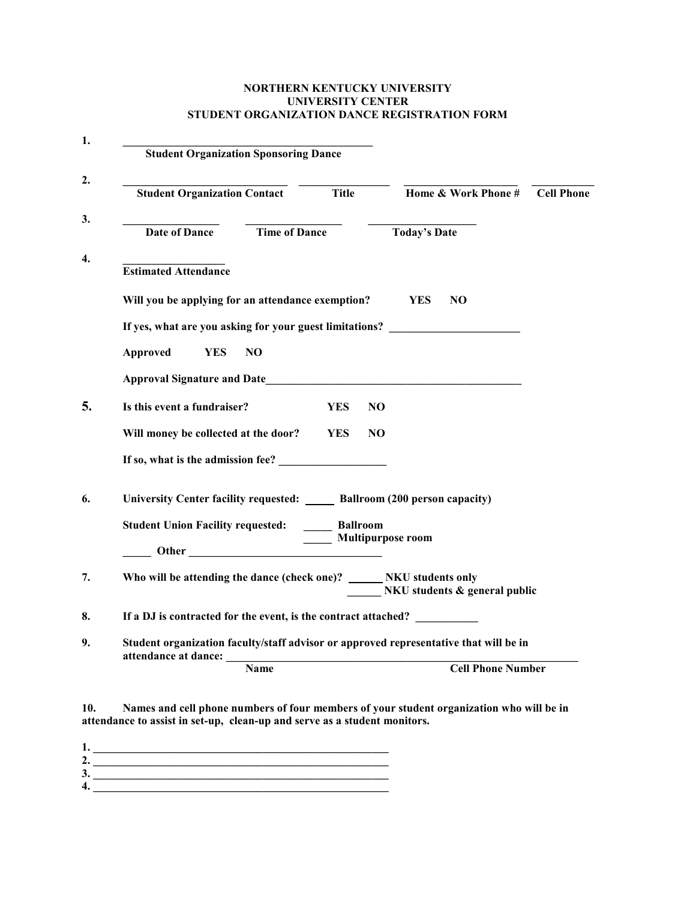## NORTHERN KENTUCKY UNIVERSITY UNIVERSITY CENTER STUDENT ORGANIZATION DANCE REGISTRATION FORM

| <b>Student Organization Sponsoring Dance</b>                                          |                      |              |                     |                               |                   |
|---------------------------------------------------------------------------------------|----------------------|--------------|---------------------|-------------------------------|-------------------|
| <b>Student Organization Contact</b>                                                   |                      | <b>Title</b> |                     | Home & Work Phone #           | <b>Cell Phone</b> |
| Date of Dance                                                                         | <b>Time of Dance</b> |              | <b>Today's Date</b> |                               |                   |
| <b>Estimated Attendance</b>                                                           |                      |              |                     |                               |                   |
| Will you be applying for an attendance exemption?                                     |                      |              | YES.                | NO.                           |                   |
| If yes, what are you asking for your guest limitations?                               |                      |              |                     |                               |                   |
| Approved<br><b>YES</b><br>NO.                                                         |                      |              |                     |                               |                   |
|                                                                                       |                      |              |                     |                               |                   |
| Is this event a fundraiser?                                                           | <b>YES</b>           | NO           |                     |                               |                   |
| Will money be collected at the door?                                                  | <b>YES</b>           | NO.          |                     |                               |                   |
| If so, what is the admission fee?                                                     |                      |              |                     |                               |                   |
| University Center facility requested: _____ Ballroom (200 person capacity)            |                      |              |                     |                               |                   |
| Student Union Facility requested: ______ Ballroom                                     |                      |              |                     |                               |                   |
| Other Multipurpose room                                                               |                      |              |                     |                               |                   |
| Who will be attending the dance (check one)? _______ NKU students only                |                      |              |                     | NKU students & general public |                   |
| If a DJ is contracted for the event, is the contract attached?                        |                      |              |                     |                               |                   |
| Student organization faculty/staff advisor or approved representative that will be in |                      |              |                     |                               |                   |
| Name                                                                                  |                      |              |                     | <b>Cell Phone Number</b>      |                   |

10. Names and cell phone numbers of four members of your student organization who will be in attendance to assist in set-up, clean-up and serve as a student monitors.